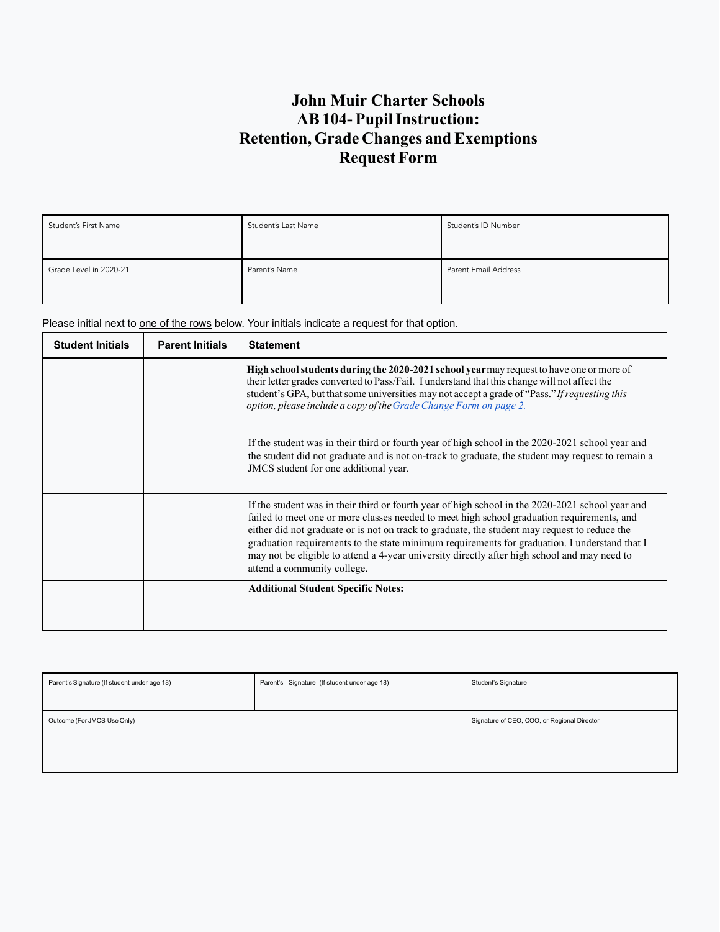# **John Muir Charter Schools<br>AB 104- Pupil Instruction: Retention, Grade Changes and Exemptions Request Form**

| Student's First Name   | Student's Last Name | Student's ID Number  |
|------------------------|---------------------|----------------------|
| Grade Level in 2020-21 | Parent's Name       | Parent Email Address |

Please initial next to one of the rows below. Your initials indicate a request for that option.

| <b>Student Initials</b> | <b>Parent Initials</b> | <b>Statement</b>                                                                                                                                                                                                                                                                                                                                                                                                                                                                                                                |
|-------------------------|------------------------|---------------------------------------------------------------------------------------------------------------------------------------------------------------------------------------------------------------------------------------------------------------------------------------------------------------------------------------------------------------------------------------------------------------------------------------------------------------------------------------------------------------------------------|
|                         |                        | <b>High school students during the 2020-2021 school year</b> may request to have one or more of<br>their letter grades converted to Pass/Fail. I understand that this change will not affect the<br>student's GPA, but that some universities may not accept a grade of "Pass." If requesting this<br>option, please include a copy of the Grade Change Form on page 2.                                                                                                                                                         |
|                         |                        | If the student was in their third or fourth year of high school in the 2020-2021 school year and<br>the student did not graduate and is not on-track to graduate, the student may request to remain a<br>JMCS student for one additional year.                                                                                                                                                                                                                                                                                  |
|                         |                        | If the student was in their third or fourth year of high school in the 2020-2021 school year and<br>failed to meet one or more classes needed to meet high school graduation requirements, and<br>either did not graduate or is not on track to graduate, the student may request to reduce the<br>graduation requirements to the state minimum requirements for graduation. I understand that I<br>may not be eligible to attend a 4-year university directly after high school and may need to<br>attend a community college. |
|                         |                        | <b>Additional Student Specific Notes:</b>                                                                                                                                                                                                                                                                                                                                                                                                                                                                                       |

| Parent's Signature (If student under age 18) | Parent's Signature (If student under age 18) | Student's Signature                         |
|----------------------------------------------|----------------------------------------------|---------------------------------------------|
|                                              |                                              |                                             |
| Outcome (For JMCS Use Only)                  |                                              | Signature of CEO, COO, or Regional Director |
|                                              |                                              |                                             |
|                                              |                                              |                                             |
|                                              |                                              |                                             |